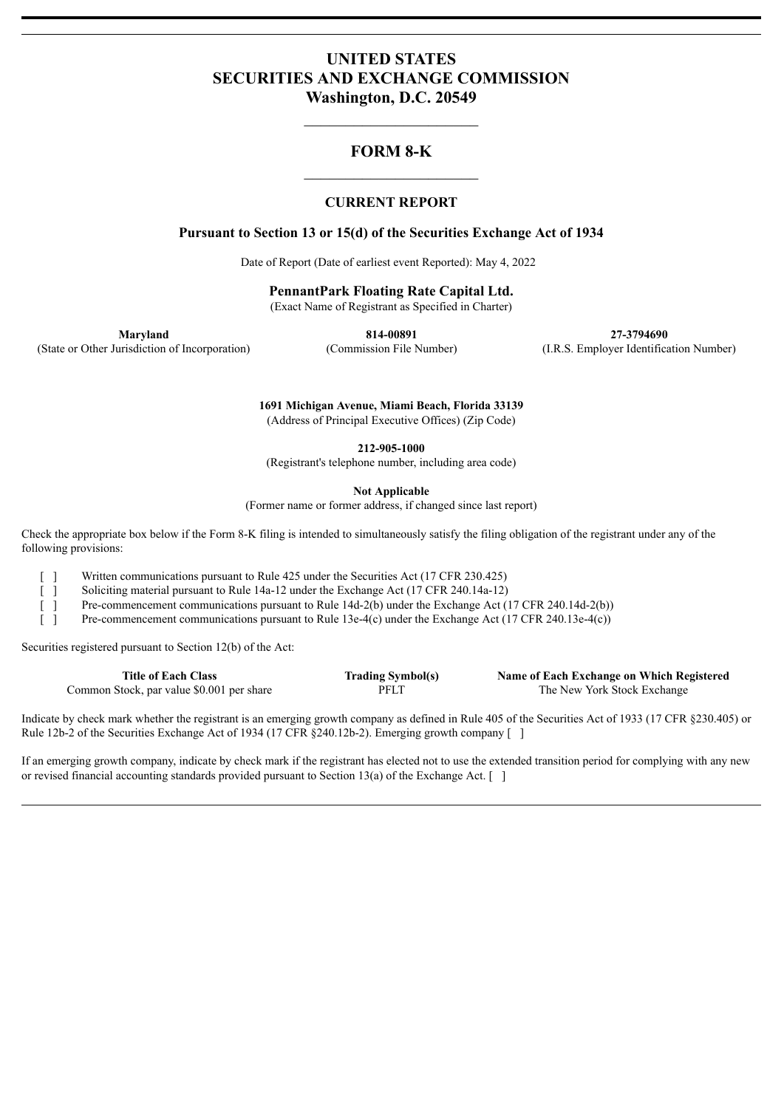# **UNITED STATES SECURITIES AND EXCHANGE COMMISSION Washington, D.C. 20549**

# **FORM 8-K**

#### **CURRENT REPORT**

#### **Pursuant to Section 13 or 15(d) of the Securities Exchange Act of 1934**

Date of Report (Date of earliest event Reported): May 4, 2022

**PennantPark Floating Rate Capital Ltd.**

(Exact Name of Registrant as Specified in Charter)

**Maryland 814-00891 27-3794690** (State or Other Jurisdiction of Incorporation) (Commission File Number) (I.R.S. Employer Identification Number)

> **1691 Michigan Avenue, Miami Beach, Florida 33139** (Address of Principal Executive Offices) (Zip Code)

> > **212-905-1000**

(Registrant's telephone number, including area code)

**Not Applicable**

(Former name or former address, if changed since last report)

Check the appropriate box below if the Form 8-K filing is intended to simultaneously satisfy the filing obligation of the registrant under any of the following provisions:

[ ] Written communications pursuant to Rule 425 under the Securities Act (17 CFR 230.425)

[ ] Soliciting material pursuant to Rule 14a-12 under the Exchange Act (17 CFR 240.14a-12)

[ ] Pre-commencement communications pursuant to Rule 14d-2(b) under the Exchange Act (17 CFR 240.14d-2(b))

[ ] Pre-commencement communications pursuant to Rule 13e-4(c) under the Exchange Act (17 CFR 240.13e-4(c))

Securities registered pursuant to Section 12(b) of the Act:

| <b>Title of Each Class</b>                | <b>Trading Symbol(s)</b> | Name of Each Exchange on Which Registered |
|-------------------------------------------|--------------------------|-------------------------------------------|
| Common Stock, par value \$0.001 per share | <b>PFLT</b>              | The New York Stock Exchange               |

Indicate by check mark whether the registrant is an emerging growth company as defined in Rule 405 of the Securities Act of 1933 (17 CFR §230.405) or Rule 12b-2 of the Securities Exchange Act of 1934 (17 CFR §240.12b-2). Emerging growth company [ ]

If an emerging growth company, indicate by check mark if the registrant has elected not to use the extended transition period for complying with any new or revised financial accounting standards provided pursuant to Section 13(a) of the Exchange Act.  $\lceil \ \rceil$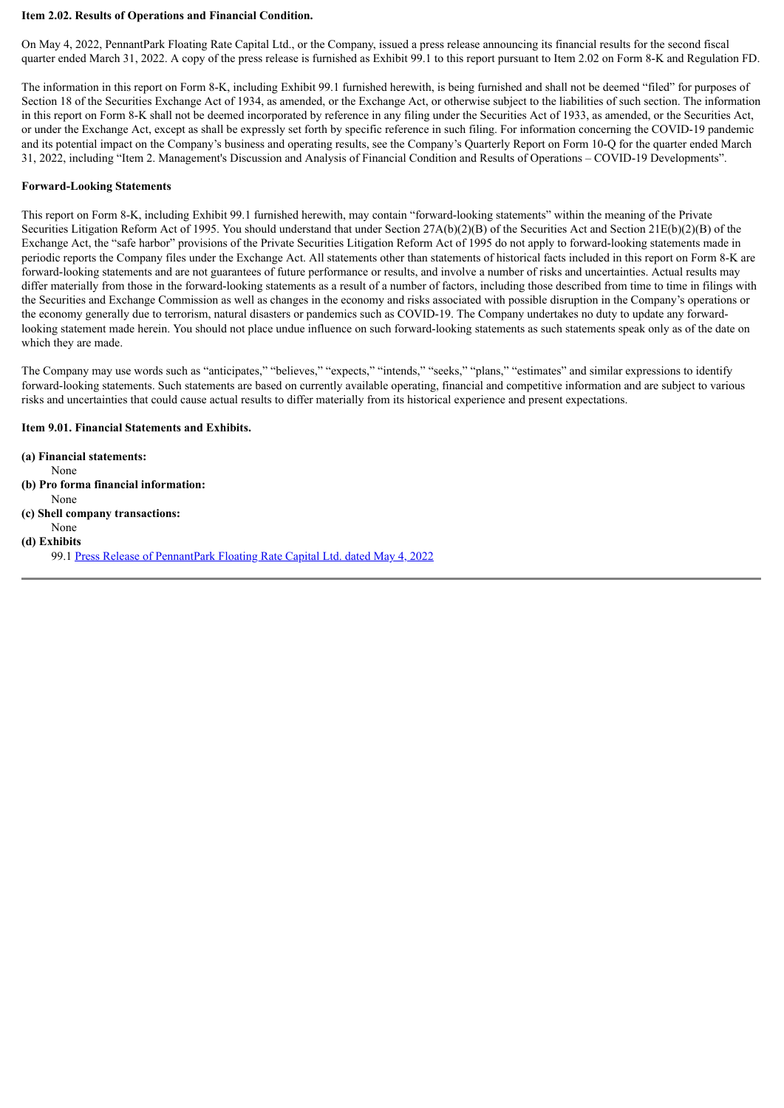#### **Item 2.02. Results of Operations and Financial Condition.**

On May 4, 2022, PennantPark Floating Rate Capital Ltd., or the Company, issued a press release announcing its financial results for the second fiscal quarter ended March 31, 2022. A copy of the press release is furnished as Exhibit 99.1 to this report pursuant to Item 2.02 on Form 8-K and Regulation FD.

The information in this report on Form 8-K, including Exhibit 99.1 furnished herewith, is being furnished and shall not be deemed "filed" for purposes of Section 18 of the Securities Exchange Act of 1934, as amended, or the Exchange Act, or otherwise subject to the liabilities of such section. The information in this report on Form 8-K shall not be deemed incorporated by reference in any filing under the Securities Act of 1933, as amended, or the Securities Act, or under the Exchange Act, except as shall be expressly set forth by specific reference in such filing. For information concerning the COVID-19 pandemic and its potential impact on the Company's business and operating results, see the Company's Quarterly Report on Form 10-Q for the quarter ended March 31, 2022, including "Item 2. Management's Discussion and Analysis of Financial Condition and Results of Operations – COVID-19 Developments".

#### **Forward-Looking Statements**

This report on Form 8-K, including Exhibit 99.1 furnished herewith, may contain "forward-looking statements" within the meaning of the Private Securities Litigation Reform Act of 1995. You should understand that under Section 27A(b)(2)(B) of the Securities Act and Section 21E(b)(2)(B) of the Exchange Act, the "safe harbor" provisions of the Private Securities Litigation Reform Act of 1995 do not apply to forward-looking statements made in periodic reports the Company files under the Exchange Act. All statements other than statements of historical facts included in this report on Form 8-K are forward-looking statements and are not guarantees of future performance or results, and involve a number of risks and uncertainties. Actual results may differ materially from those in the forward-looking statements as a result of a number of factors, including those described from time to time in filings with the Securities and Exchange Commission as well as changes in the economy and risks associated with possible disruption in the Company's operations or the economy generally due to terrorism, natural disasters or pandemics such as COVID-19. The Company undertakes no duty to update any forwardlooking statement made herein. You should not place undue influence on such forward-looking statements as such statements speak only as of the date on which they are made.

The Company may use words such as "anticipates," "believes," "expects," "intends," "seeks," "plans," "estimates" and similar expressions to identify forward-looking statements. Such statements are based on currently available operating, financial and competitive information and are subject to various risks and uncertainties that could cause actual results to differ materially from its historical experience and present expectations.

#### **Item 9.01. Financial Statements and Exhibits.**

**(a) Financial statements:** None **(b) Pro forma financial information:** None **(c) Shell company transactions:** None **(d) Exhibits** 99.1 Press Release of [PennantPark](#page-3-0) Floating Rate Capital Ltd. dated May 4, 2022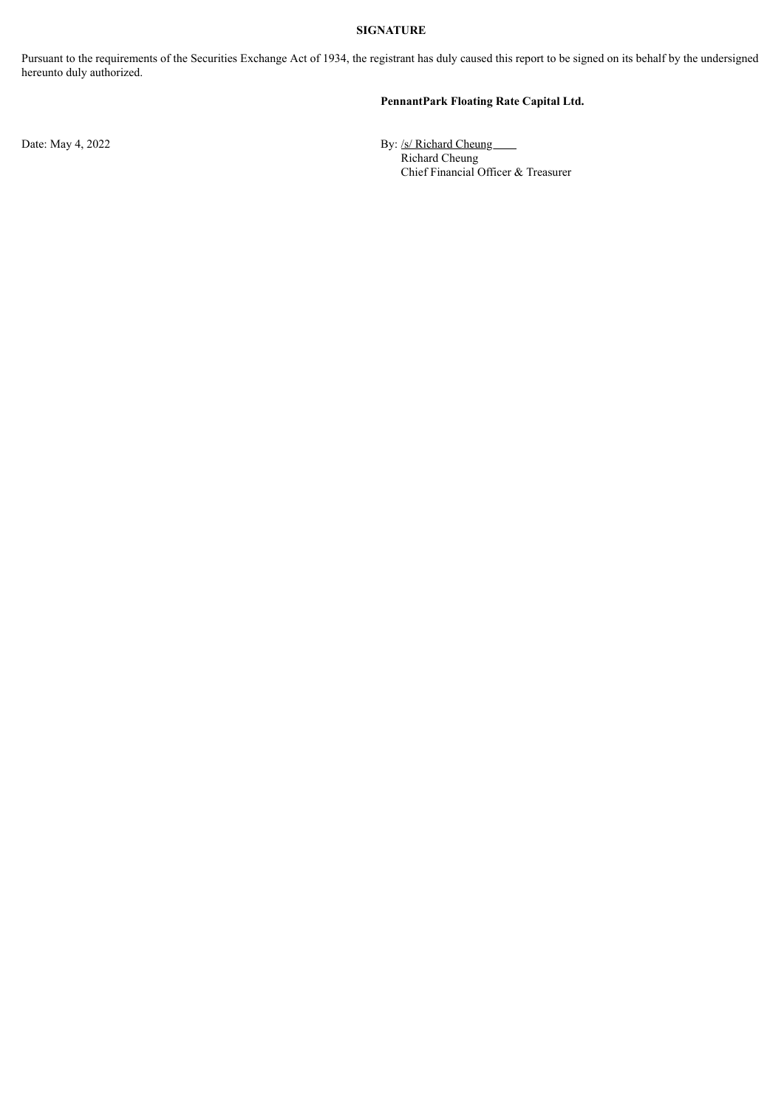#### **SIGNATURE**

Pursuant to the requirements of the Securities Exchange Act of 1934, the registrant has duly caused this report to be signed on its behalf by the undersigned hereunto duly authorized.

#### **PennantPark Floating Rate Capital Ltd.**

Date: May 4, 2022 **By:** /s/ Richard Cheung Richard Cheung Chief Financial Officer & Treasurer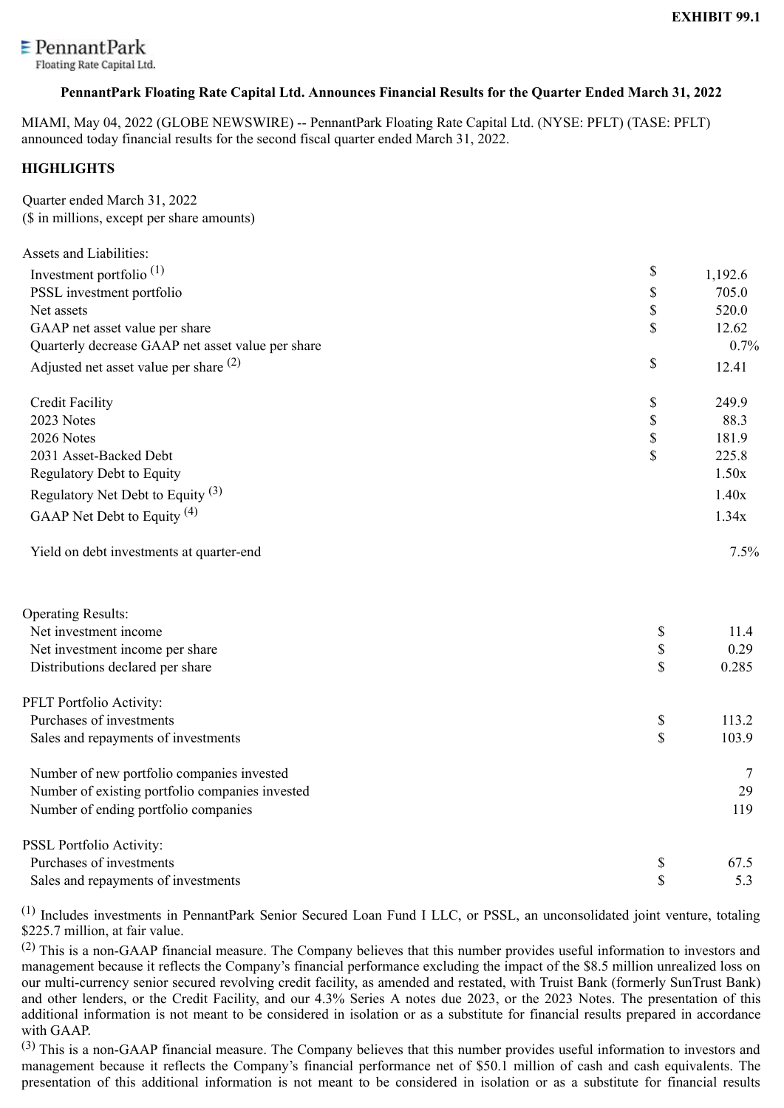<span id="page-3-0"></span>

Floating Rate Capital Ltd.

# **PennantPark Floating Rate Capital Ltd. Announces Financial Results for the Quarter Ended March 31, 2022**

MIAMI, May 04, 2022 (GLOBE NEWSWIRE) -- PennantPark Floating Rate Capital Ltd. (NYSE: PFLT) (TASE: PFLT) announced today financial results for the second fiscal quarter ended March 31, 2022.

# **HIGHLIGHTS**

Quarter ended March 31, 2022 (\$ in millions, except per share amounts)

| <b>Assets and Liabilities:</b>                    |                           |         |
|---------------------------------------------------|---------------------------|---------|
| Investment portfolio <sup><math>(1)</math></sup>  | \$                        | 1,192.6 |
| PSSL investment portfolio                         | \$                        | 705.0   |
| Net assets                                        | $\mathbb S$               | 520.0   |
| GAAP net asset value per share                    | \$                        | 12.62   |
| Quarterly decrease GAAP net asset value per share |                           | 0.7%    |
| Adjusted net asset value per share $(2)$          | $\$$                      | 12.41   |
| <b>Credit Facility</b>                            | \$                        | 249.9   |
| 2023 Notes                                        | $\mathbb S$               | 88.3    |
| 2026 Notes                                        | $\boldsymbol{\mathsf{S}}$ | 181.9   |
| 2031 Asset-Backed Debt                            | $\mathsf{\$}$             | 225.8   |
| Regulatory Debt to Equity                         |                           | 1.50x   |
| Regulatory Net Debt to Equity $(3)$               |                           | 1.40x   |
| GAAP Net Debt to Equity <sup>(4)</sup>            |                           | 1.34x   |
| Yield on debt investments at quarter-end          |                           | 7.5%    |
| <b>Operating Results:</b>                         |                           |         |
| Net investment income                             | $\$$                      | 11.4    |
| Net investment income per share                   | $\mathbb S$               | 0.29    |
| Distributions declared per share                  | \$                        | 0.285   |
| PFLT Portfolio Activity:                          |                           |         |
| Purchases of investments                          | $\$$                      | 113.2   |
| Sales and repayments of investments               | \$                        | 103.9   |
| Number of new portfolio companies invested        |                           | 7       |
| Number of existing portfolio companies invested   |                           | 29      |
| Number of ending portfolio companies              |                           | 119     |
| PSSL Portfolio Activity:                          |                           |         |
| Purchases of investments                          | \$                        | 67.5    |
| Sales and repayments of investments               | \$                        | 5.3     |

(1) Includes investments in PennantPark Senior Secured Loan Fund I LLC, or PSSL, an unconsolidated joint venture, totaling \$225.7 million, at fair value.

(2) This is a non-GAAP financial measure. The Company believes that this number provides useful information to investors and management because it reflects the Company's financial performance excluding the impact of the \$8.5 million unrealized loss on our multi-currency senior secured revolving credit facility, as amended and restated, with Truist Bank (formerly SunTrust Bank) and other lenders, or the Credit Facility, and our 4.3% Series A notes due 2023, or the 2023 Notes. The presentation of this additional information is not meant to be considered in isolation or as a substitute for financial results prepared in accordance with GAAP.

(3) This is a non-GAAP financial measure. The Company believes that this number provides useful information to investors and management because it reflects the Company's financial performance net of \$50.1 million of cash and cash equivalents. The presentation of this additional information is not meant to be considered in isolation or as a substitute for financial results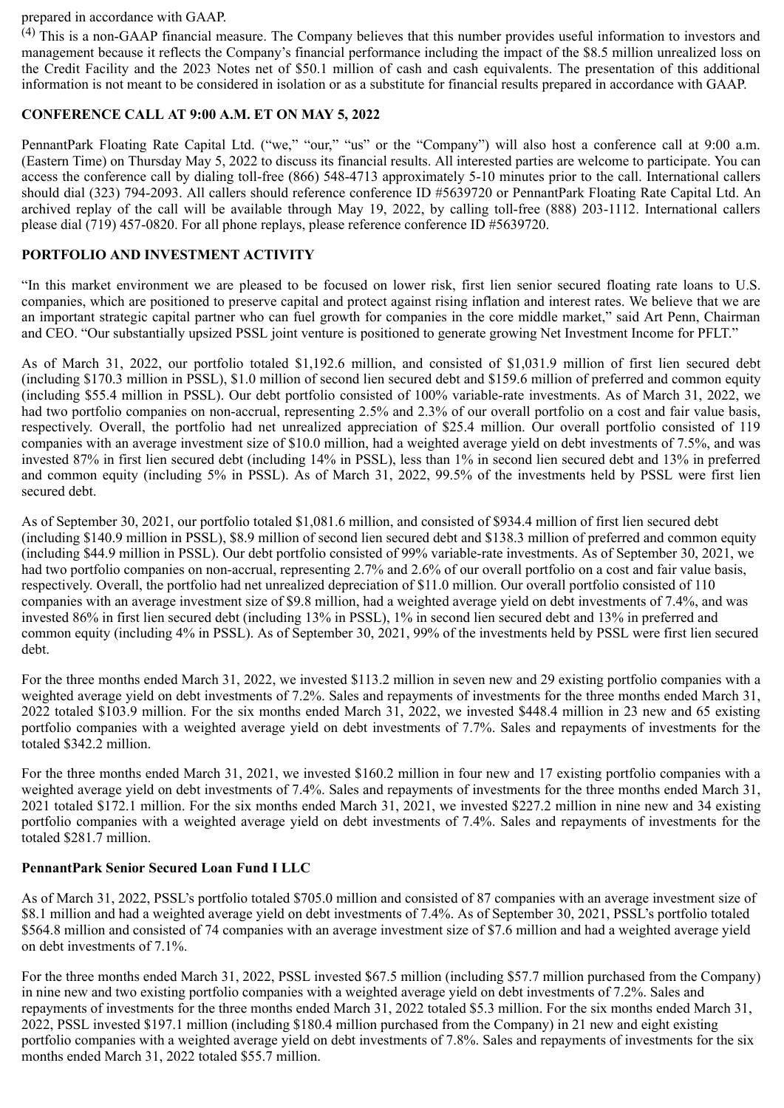#### prepared in accordance with GAAP.

(4) This is a non-GAAP financial measure. The Company believes that this number provides useful information to investors and management because it reflects the Company's financial performance including the impact of the \$8.5 million unrealized loss on the Credit Facility and the 2023 Notes net of \$50.1 million of cash and cash equivalents. The presentation of this additional information is not meant to be considered in isolation or as a substitute for financial results prepared in accordance with GAAP.

# **CONFERENCE CALL AT 9:00 A.M. ET ON MAY 5, 2022**

PennantPark Floating Rate Capital Ltd. ("we," "our," "us" or the "Company") will also host a conference call at 9:00 a.m. (Eastern Time) on Thursday May 5, 2022 to discuss its financial results. All interested parties are welcome to participate. You can access the conference call by dialing toll-free (866) 548-4713 approximately 5-10 minutes prior to the call. International callers should dial (323) 794-2093. All callers should reference conference ID #5639720 or PennantPark Floating Rate Capital Ltd. An archived replay of the call will be available through May 19, 2022, by calling toll-free (888) 203-1112. International callers please dial (719) 457-0820. For all phone replays, please reference conference ID #5639720.

# **PORTFOLIO AND INVESTMENT ACTIVITY**

"In this market environment we are pleased to be focused on lower risk, first lien senior secured floating rate loans to U.S. companies, which are positioned to preserve capital and protect against rising inflation and interest rates. We believe that we are an important strategic capital partner who can fuel growth for companies in the core middle market," said Art Penn, Chairman and CEO. "Our substantially upsized PSSL joint venture is positioned to generate growing Net Investment Income for PFLT."

As of March 31, 2022, our portfolio totaled \$1,192.6 million, and consisted of \$1,031.9 million of first lien secured debt (including \$170.3 million in PSSL), \$1.0 million of second lien secured debt and \$159.6 million of preferred and common equity (including \$55.4 million in PSSL). Our debt portfolio consisted of 100% variable-rate investments. As of March 31, 2022, we had two portfolio companies on non-accrual, representing 2.5% and 2.3% of our overall portfolio on a cost and fair value basis, respectively. Overall, the portfolio had net unrealized appreciation of \$25.4 million. Our overall portfolio consisted of 119 companies with an average investment size of \$10.0 million, had a weighted average yield on debt investments of 7.5%, and was invested 87% in first lien secured debt (including 14% in PSSL), less than 1% in second lien secured debt and 13% in preferred and common equity (including 5% in PSSL). As of March 31, 2022, 99.5% of the investments held by PSSL were first lien secured debt.

As of September 30, 2021, our portfolio totaled \$1,081.6 million, and consisted of \$934.4 million of first lien secured debt (including \$140.9 million in PSSL), \$8.9 million of second lien secured debt and \$138.3 million of preferred and common equity (including \$44.9 million in PSSL). Our debt portfolio consisted of 99% variable-rate investments. As of September 30, 2021, we had two portfolio companies on non-accrual, representing 2.7% and 2.6% of our overall portfolio on a cost and fair value basis, respectively. Overall, the portfolio had net unrealized depreciation of \$11.0 million. Our overall portfolio consisted of 110 companies with an average investment size of \$9.8 million, had a weighted average yield on debt investments of 7.4%, and was invested 86% in first lien secured debt (including 13% in PSSL), 1% in second lien secured debt and 13% in preferred and common equity (including 4% in PSSL). As of September 30, 2021, 99% of the investments held by PSSL were first lien secured debt.

For the three months ended March 31, 2022, we invested \$113.2 million in seven new and 29 existing portfolio companies with a weighted average yield on debt investments of 7.2%. Sales and repayments of investments for the three months ended March 31, 2022 totaled \$103.9 million. For the six months ended March 31, 2022, we invested \$448.4 million in 23 new and 65 existing portfolio companies with a weighted average yield on debt investments of 7.7%. Sales and repayments of investments for the totaled \$342.2 million.

For the three months ended March 31, 2021, we invested \$160.2 million in four new and 17 existing portfolio companies with a weighted average yield on debt investments of 7.4%. Sales and repayments of investments for the three months ended March 31, 2021 totaled \$172.1 million. For the six months ended March 31, 2021, we invested \$227.2 million in nine new and 34 existing portfolio companies with a weighted average yield on debt investments of 7.4%. Sales and repayments of investments for the totaled \$281.7 million.

#### **PennantPark Senior Secured Loan Fund I LLC**

As of March 31, 2022, PSSL's portfolio totaled \$705.0 million and consisted of 87 companies with an average investment size of \$8.1 million and had a weighted average yield on debt investments of 7.4%. As of September 30, 2021, PSSL's portfolio totaled \$564.8 million and consisted of 74 companies with an average investment size of \$7.6 million and had a weighted average yield on debt investments of 7.1%.

For the three months ended March 31, 2022, PSSL invested \$67.5 million (including \$57.7 million purchased from the Company) in nine new and two existing portfolio companies with a weighted average yield on debt investments of 7.2%. Sales and repayments of investments for the three months ended March 31, 2022 totaled \$5.3 million. For the six months ended March 31, 2022, PSSL invested \$197.1 million (including \$180.4 million purchased from the Company) in 21 new and eight existing portfolio companies with a weighted average yield on debt investments of 7.8%. Sales and repayments of investments for the six months ended March 31, 2022 totaled \$55.7 million.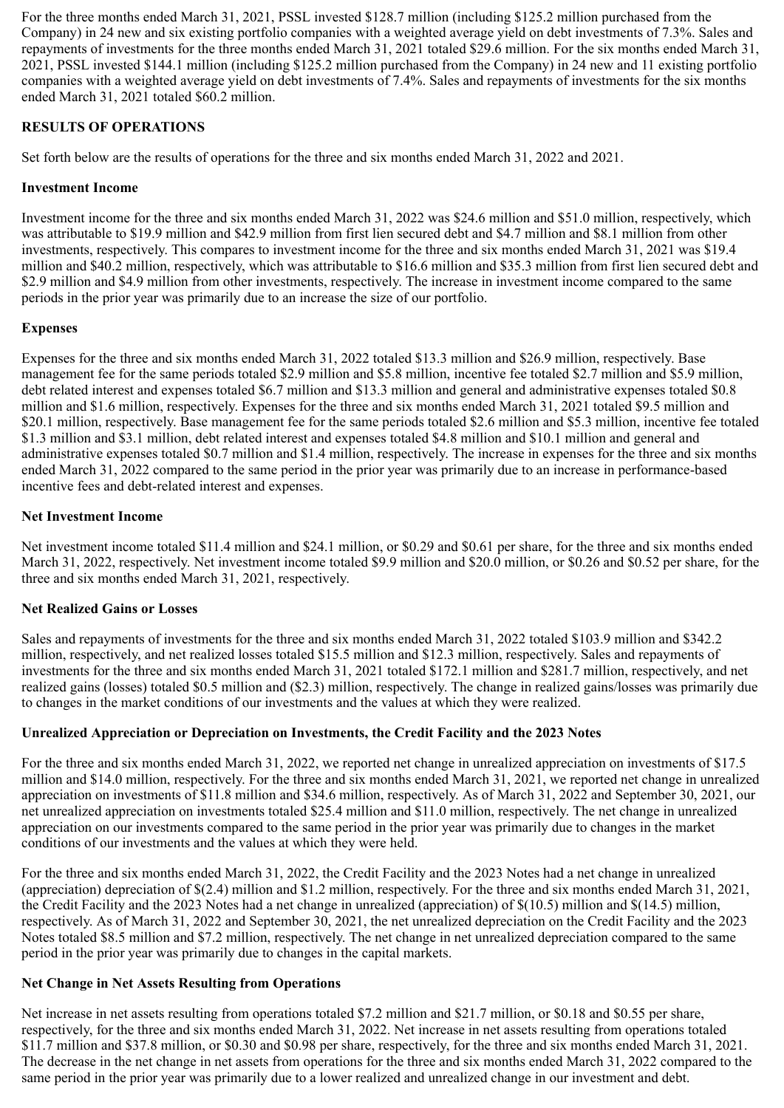For the three months ended March 31, 2021, PSSL invested \$128.7 million (including \$125.2 million purchased from the Company) in 24 new and six existing portfolio companies with a weighted average yield on debt investments of 7.3%. Sales and repayments of investments for the three months ended March 31, 2021 totaled \$29.6 million. For the six months ended March 31, 2021, PSSL invested \$144.1 million (including \$125.2 million purchased from the Company) in 24 new and 11 existing portfolio companies with a weighted average yield on debt investments of 7.4%. Sales and repayments of investments for the six months ended March 31, 2021 totaled \$60.2 million.

# **RESULTS OF OPERATIONS**

Set forth below are the results of operations for the three and six months ended March 31, 2022 and 2021.

# **Investment Income**

Investment income for the three and six months ended March 31, 2022 was \$24.6 million and \$51.0 million, respectively, which was attributable to \$19.9 million and \$42.9 million from first lien secured debt and \$4.7 million and \$8.1 million from other investments, respectively. This compares to investment income for the three and six months ended March 31, 2021 was \$19.4 million and \$40.2 million, respectively, which was attributable to \$16.6 million and \$35.3 million from first lien secured debt and \$2.9 million and \$4.9 million from other investments, respectively. The increase in investment income compared to the same periods in the prior year was primarily due to an increase the size of our portfolio.

# **Expenses**

Expenses for the three and six months ended March 31, 2022 totaled \$13.3 million and \$26.9 million, respectively. Base management fee for the same periods totaled \$2.9 million and \$5.8 million, incentive fee totaled \$2.7 million and \$5.9 million, debt related interest and expenses totaled \$6.7 million and \$13.3 million and general and administrative expenses totaled \$0.8 million and \$1.6 million, respectively. Expenses for the three and six months ended March 31, 2021 totaled \$9.5 million and \$20.1 million, respectively. Base management fee for the same periods totaled \$2.6 million and \$5.3 million, incentive fee totaled \$1.3 million and \$3.1 million, debt related interest and expenses totaled \$4.8 million and \$10.1 million and general and administrative expenses totaled \$0.7 million and \$1.4 million, respectively. The increase in expenses for the three and six months ended March 31, 2022 compared to the same period in the prior year was primarily due to an increase in performance-based incentive fees and debt-related interest and expenses.

# **Net Investment Income**

Net investment income totaled \$11.4 million and \$24.1 million, or \$0.29 and \$0.61 per share, for the three and six months ended March 31, 2022, respectively. Net investment income totaled \$9.9 million and \$20.0 million, or \$0.26 and \$0.52 per share, for the three and six months ended March 31, 2021, respectively.

# **Net Realized Gains or Losses**

Sales and repayments of investments for the three and six months ended March 31, 2022 totaled \$103.9 million and \$342.2 million, respectively, and net realized losses totaled \$15.5 million and \$12.3 million, respectively. Sales and repayments of investments for the three and six months ended March 31, 2021 totaled \$172.1 million and \$281.7 million, respectively, and net realized gains (losses) totaled \$0.5 million and (\$2.3) million, respectively. The change in realized gains/losses was primarily due to changes in the market conditions of our investments and the values at which they were realized.

# **Unrealized Appreciation or Depreciation on Investments, the Credit Facility and the 2023 Notes**

For the three and six months ended March 31, 2022, we reported net change in unrealized appreciation on investments of \$17.5 million and \$14.0 million, respectively. For the three and six months ended March 31, 2021, we reported net change in unrealized appreciation on investments of \$11.8 million and \$34.6 million, respectively. As of March 31, 2022 and September 30, 2021, our net unrealized appreciation on investments totaled \$25.4 million and \$11.0 million, respectively. The net change in unrealized appreciation on our investments compared to the same period in the prior year was primarily due to changes in the market conditions of our investments and the values at which they were held.

For the three and six months ended March 31, 2022, the Credit Facility and the 2023 Notes had a net change in unrealized (appreciation) depreciation of \$(2.4) million and \$1.2 million, respectively. For the three and six months ended March 31, 2021, the Credit Facility and the 2023 Notes had a net change in unrealized (appreciation) of \$(10.5) million and \$(14.5) million, respectively. As of March 31, 2022 and September 30, 2021, the net unrealized depreciation on the Credit Facility and the 2023 Notes totaled \$8.5 million and \$7.2 million, respectively. The net change in net unrealized depreciation compared to the same period in the prior year was primarily due to changes in the capital markets.

#### **Net Change in Net Assets Resulting from Operations**

Net increase in net assets resulting from operations totaled \$7.2 million and \$21.7 million, or \$0.18 and \$0.55 per share, respectively, for the three and six months ended March 31, 2022. Net increase in net assets resulting from operations totaled \$11.7 million and \$37.8 million, or \$0.30 and \$0.98 per share, respectively, for the three and six months ended March 31, 2021. The decrease in the net change in net assets from operations for the three and six months ended March 31, 2022 compared to the same period in the prior year was primarily due to a lower realized and unrealized change in our investment and debt.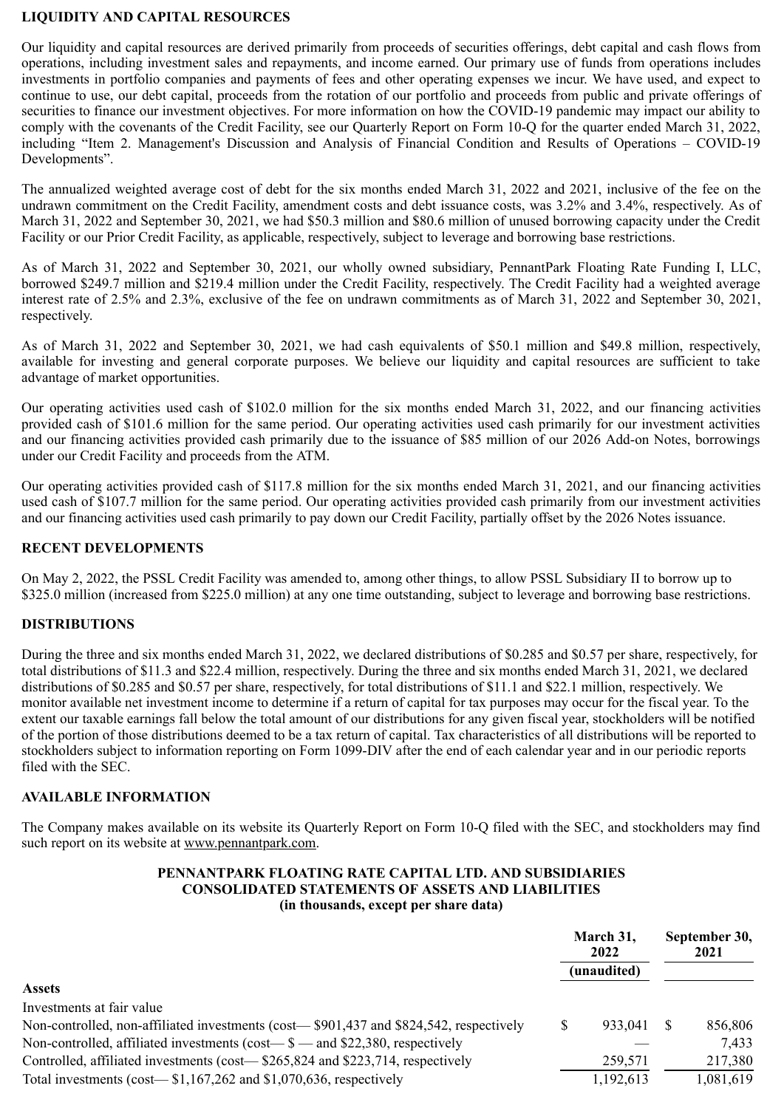# **LIQUIDITY AND CAPITAL RESOURCES**

Our liquidity and capital resources are derived primarily from proceeds of securities offerings, debt capital and cash flows from operations, including investment sales and repayments, and income earned. Our primary use of funds from operations includes investments in portfolio companies and payments of fees and other operating expenses we incur. We have used, and expect to continue to use, our debt capital, proceeds from the rotation of our portfolio and proceeds from public and private offerings of securities to finance our investment objectives. For more information on how the COVID-19 pandemic may impact our ability to comply with the covenants of the Credit Facility, see our Quarterly Report on Form 10-Q for the quarter ended March 31, 2022, including "Item 2. Management's Discussion and Analysis of Financial Condition and Results of Operations – COVID-19 Developments".

The annualized weighted average cost of debt for the six months ended March 31, 2022 and 2021, inclusive of the fee on the undrawn commitment on the Credit Facility, amendment costs and debt issuance costs, was 3.2% and 3.4%, respectively. As of March 31, 2022 and September 30, 2021, we had \$50.3 million and \$80.6 million of unused borrowing capacity under the Credit Facility or our Prior Credit Facility, as applicable, respectively, subject to leverage and borrowing base restrictions.

As of March 31, 2022 and September 30, 2021, our wholly owned subsidiary, PennantPark Floating Rate Funding I, LLC, borrowed \$249.7 million and \$219.4 million under the Credit Facility, respectively. The Credit Facility had a weighted average interest rate of 2.5% and 2.3%, exclusive of the fee on undrawn commitments as of March 31, 2022 and September 30, 2021, respectively.

As of March 31, 2022 and September 30, 2021, we had cash equivalents of \$50.1 million and \$49.8 million, respectively, available for investing and general corporate purposes. We believe our liquidity and capital resources are sufficient to take advantage of market opportunities.

Our operating activities used cash of \$102.0 million for the six months ended March 31, 2022, and our financing activities provided cash of \$101.6 million for the same period. Our operating activities used cash primarily for our investment activities and our financing activities provided cash primarily due to the issuance of \$85 million of our 2026 Add-on Notes, borrowings under our Credit Facility and proceeds from the ATM.

Our operating activities provided cash of \$117.8 million for the six months ended March 31, 2021, and our financing activities used cash of \$107.7 million for the same period. Our operating activities provided cash primarily from our investment activities and our financing activities used cash primarily to pay down our Credit Facility, partially offset by the 2026 Notes issuance.

# **RECENT DEVELOPMENTS**

On May 2, 2022, the PSSL Credit Facility was amended to, among other things, to allow PSSL Subsidiary II to borrow up to \$325.0 million (increased from \$225.0 million) at any one time outstanding, subject to leverage and borrowing base restrictions.

#### **DISTRIBUTIONS**

During the three and six months ended March 31, 2022, we declared distributions of \$0.285 and \$0.57 per share, respectively, for total distributions of \$11.3 and \$22.4 million, respectively. During the three and six months ended March 31, 2021, we declared distributions of \$0.285 and \$0.57 per share, respectively, for total distributions of \$11.1 and \$22.1 million, respectively. We monitor available net investment income to determine if a return of capital for tax purposes may occur for the fiscal year. To the extent our taxable earnings fall below the total amount of our distributions for any given fiscal year, stockholders will be notified of the portion of those distributions deemed to be a tax return of capital. Tax characteristics of all distributions will be reported to stockholders subject to information reporting on Form 1099-DIV after the end of each calendar year and in our periodic reports filed with the SEC.

#### **AVAILABLE INFORMATION**

The Company makes available on its website its Quarterly Report on Form 10-Q filed with the SEC, and stockholders may find such report on its website at www.pennantpark.com.

#### **PENNANTPARK FLOATING RATE CAPITAL LTD. AND SUBSIDIARIES CONSOLIDATED STATEMENTS OF ASSETS AND LIABILITIES (in thousands, except per share data)**

|                                                                                        |  | March 31,<br>2022 | September 30,<br>2021 |           |
|----------------------------------------------------------------------------------------|--|-------------------|-----------------------|-----------|
|                                                                                        |  | (unaudited)       |                       |           |
| <b>Assets</b>                                                                          |  |                   |                       |           |
| Investments at fair value                                                              |  |                   |                       |           |
| Non-controlled, non-affiliated investments (cost—\$901,437 and \$824,542, respectively |  | 933.041           |                       | 856,806   |
| Non-controlled, affiliated investments (cost— $\text{\$}$ — and \$22,380, respectively |  |                   |                       | 7.433     |
| Controlled, affiliated investments (cost—\$265,824 and \$223,714, respectively         |  | 259,571           |                       | 217,380   |
| Total investments (cost— $$1,167,262$ and $$1,070,636$ , respectively                  |  | 1,192,613         |                       | 1,081,619 |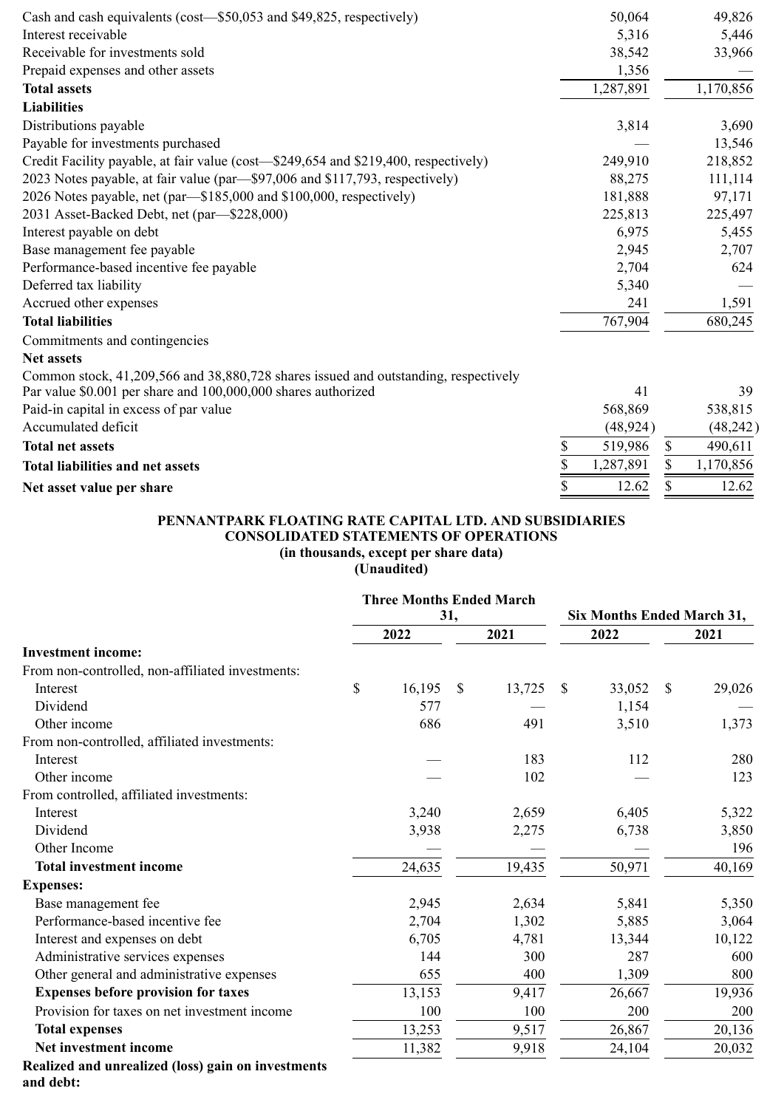| Cash and cash equivalents (cost—\$50,053 and \$49,825, respectively)                |                 | 50,064    | 49,826          |
|-------------------------------------------------------------------------------------|-----------------|-----------|-----------------|
| Interest receivable                                                                 |                 | 5,316     | 5,446           |
| Receivable for investments sold                                                     |                 | 38,542    | 33,966          |
| Prepaid expenses and other assets                                                   |                 | 1,356     |                 |
| <b>Total assets</b>                                                                 |                 | 1,287,891 | 1,170,856       |
| <b>Liabilities</b>                                                                  |                 |           |                 |
| Distributions payable                                                               |                 | 3,814     | 3,690           |
| Payable for investments purchased                                                   |                 |           | 13,546          |
| Credit Facility payable, at fair value (cost-\$249,654 and \$219,400, respectively) |                 | 249,910   | 218,852         |
| 2023 Notes payable, at fair value (par—\$97,006 and \$117,793, respectively)        |                 | 88,275    | 111,114         |
| 2026 Notes payable, net (par—\$185,000 and \$100,000, respectively)                 |                 | 181,888   | 97,171          |
| 2031 Asset-Backed Debt, net (par—\$228,000)                                         |                 | 225,813   | 225,497         |
| Interest payable on debt                                                            |                 | 6,975     | 5,455           |
| Base management fee payable                                                         |                 | 2,945     | 2,707           |
| Performance-based incentive fee payable                                             |                 | 2,704     | 624             |
| Deferred tax liability                                                              |                 | 5,340     |                 |
| Accrued other expenses                                                              |                 | 241       | 1,591           |
| <b>Total liabilities</b>                                                            |                 | 767,904   | 680,245         |
| Commitments and contingencies                                                       |                 |           |                 |
| <b>Net assets</b>                                                                   |                 |           |                 |
| Common stock, 41,209,566 and 38,880,728 shares issued and outstanding, respectively |                 |           |                 |
| Par value \$0.001 per share and 100,000,000 shares authorized                       |                 | 41        | 39              |
| Paid-in capital in excess of par value                                              |                 | 568,869   | 538,815         |
| Accumulated deficit                                                                 |                 | (48, 924) | (48, 242)       |
| <b>Total net assets</b>                                                             | \$              | 519,986   | \$<br>490,611   |
| <b>Total liabilities and net assets</b>                                             | \$              | 1,287,891 | \$<br>1,170,856 |
| Net asset value per share                                                           | $\overline{\$}$ | 12.62     | \$<br>12.62     |

# **PENNANTPARK FLOATING RATE CAPITAL LTD. AND SUBSIDIARIES CONSOLIDATED STATEMENTS OF OPERATIONS (in thousands, except per share data)**

**(Unaudited)**

|                                                    | <b>Three Months Ended March</b> |        |               |                            |    |        |              |        |
|----------------------------------------------------|---------------------------------|--------|---------------|----------------------------|----|--------|--------------|--------|
|                                                    | 31,                             |        |               | Six Months Ended March 31, |    |        |              |        |
|                                                    |                                 | 2022   |               | 2021                       |    | 2022   |              | 2021   |
| <b>Investment income:</b>                          |                                 |        |               |                            |    |        |              |        |
| From non-controlled, non-affiliated investments:   |                                 |        |               |                            |    |        |              |        |
| Interest                                           | $\mathbb{S}$                    | 16,195 | $\mathcal{S}$ | 13,725                     | \$ | 33,052 | $\mathbb{S}$ | 29,026 |
| Dividend                                           |                                 | 577    |               |                            |    | 1,154  |              |        |
| Other income                                       |                                 | 686    |               | 491                        |    | 3,510  |              | 1,373  |
| From non-controlled, affiliated investments:       |                                 |        |               |                            |    |        |              |        |
| Interest                                           |                                 |        |               | 183                        |    | 112    |              | 280    |
| Other income                                       |                                 |        |               | 102                        |    |        |              | 123    |
| From controlled, affiliated investments:           |                                 |        |               |                            |    |        |              |        |
| Interest                                           |                                 | 3,240  |               | 2,659                      |    | 6,405  |              | 5,322  |
| Dividend                                           |                                 | 3,938  |               | 2,275                      |    | 6,738  |              | 3,850  |
| Other Income                                       |                                 |        |               |                            |    |        |              | 196    |
| <b>Total investment income</b>                     |                                 | 24,635 |               | 19,435                     |    | 50,971 |              | 40,169 |
| <b>Expenses:</b>                                   |                                 |        |               |                            |    |        |              |        |
| Base management fee                                |                                 | 2,945  |               | 2,634                      |    | 5,841  |              | 5,350  |
| Performance-based incentive fee                    |                                 | 2,704  |               | 1,302                      |    | 5,885  |              | 3,064  |
| Interest and expenses on debt                      |                                 | 6,705  |               | 4,781                      |    | 13,344 |              | 10,122 |
| Administrative services expenses                   |                                 | 144    |               | 300                        |    | 287    |              | 600    |
| Other general and administrative expenses          |                                 | 655    |               | 400                        |    | 1,309  |              | 800    |
| <b>Expenses before provision for taxes</b>         |                                 | 13,153 |               | 9,417                      |    | 26,667 |              | 19,936 |
| Provision for taxes on net investment income       |                                 | 100    |               | 100                        |    | 200    |              | 200    |
| <b>Total expenses</b>                              |                                 | 13,253 |               | 9,517                      |    | 26,867 |              | 20,136 |
| Net investment income                              |                                 | 11,382 |               | 9,918                      |    | 24,104 |              | 20,032 |
| Realized and unrealized (loss) gain on investments |                                 |        |               |                            |    |        |              |        |

**Realized and unrealized (loss) gain on investments and debt:**